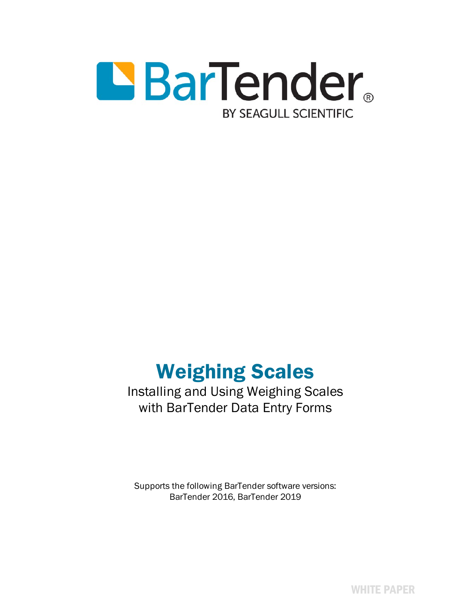

# Weighing Scales

# Installing and Using Weighing Scales with BarTender Data Entry Forms

Supports the following BarTender software versions: BarTender 2016, BarTender 2019

WHITE PAPER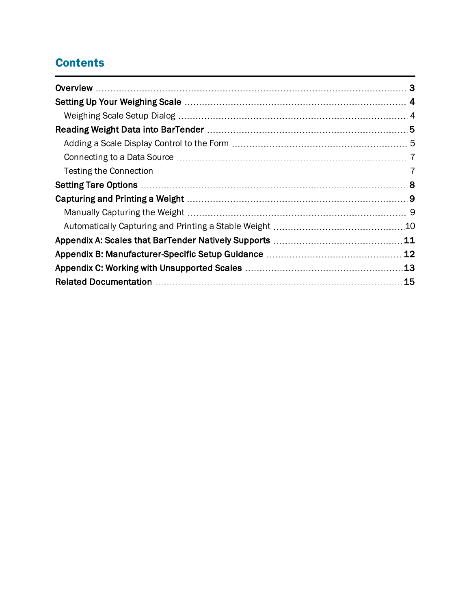# **Contents**

| .12 |
|-----|
| 13  |
| 15  |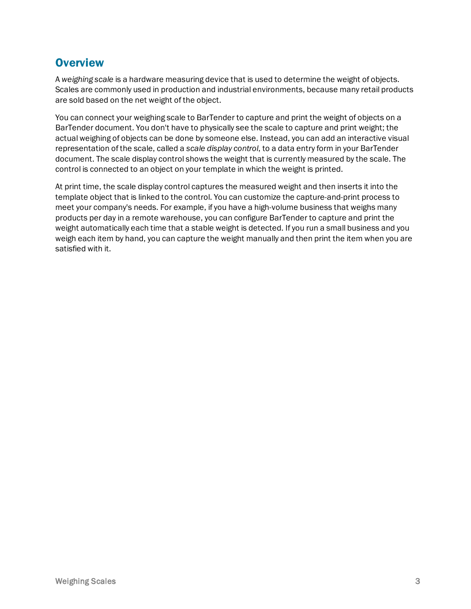### <span id="page-2-0"></span>**Overview**

A *weighing scale* is a hardware measuring device that is used to determine the weight of objects. Scales are commonly used in production and industrial environments, because many retail products are sold based on the net weight of the object.

You can connect your weighing scale to BarTender to capture and print the weight of objects on a BarTender document. You don't have to physically see the scale to capture and print weight; the actual weighing of objects can be done by someone else. Instead, you can add an interactive visual representation of the scale, called a *scale display control*, to a data entry form in your BarTender document. The scale display control shows the weight that is currently measured by the scale. The control is connected to an object on your template in which the weight is printed.

At print time, the scale display control captures the measured weight and then inserts it into the template object that is linked to the control. You can customize the capture-and-print process to meet your company's needs. For example, if you have a high-volume business that weighs many products per day in a remote warehouse, you can configure BarTender to capture and print the weight automatically each time that a stable weight is detected. If you run a small business and you weigh each item by hand, you can capture the weight manually and then print the item when you are satisfied with it.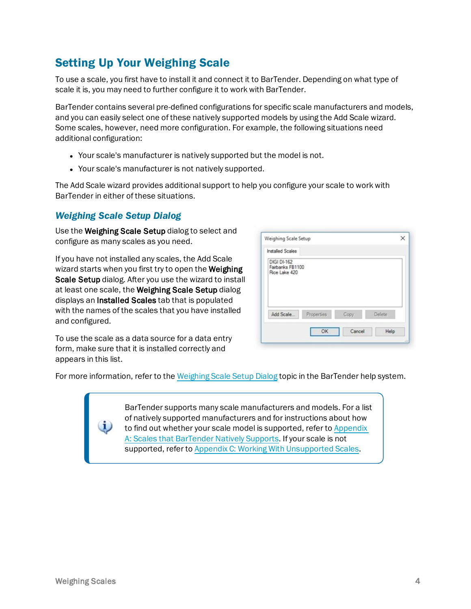# <span id="page-3-0"></span>Setting Up Your Weighing Scale

To use a scale, you first have to install it and connect it to BarTender. Depending on what type of scale it is, you may need to further configure it to work with BarTender.

BarTender contains several pre-defined configurations for specific scale manufacturers and models, and you can easily select one of these natively supported models by using the Add Scale wizard. Some scales, however, need more configuration. For example, the following situations need additional configuration:

- Your scale's manufacturer is natively supported but the model is not.
- Your scale's manufacturer is not natively supported.

The Add Scale wizard provides additional support to help you configure your scale to work with BarTender in either of these situations.

#### <span id="page-3-1"></span>*Weighing Scale Setup Dialog*

Use the Weighing Scale Setup dialog to select and configure as many scales as you need.

If you have not installed any scales, the Add Scale wizard starts when you first try to open the Weighing Scale Setup dialog. After you use the wizard to install at least one scale, the Weighing Scale Setup dialog displays an Installed Scales tab that is populated with the names of the scales that you have installed and configured.

| Installed Scales                                        |            |      |        |
|---------------------------------------------------------|------------|------|--------|
|                                                         |            |      |        |
| <b>DIGI DI-162</b><br>Fairbanks FB1100<br>Rice Lake 420 |            |      |        |
|                                                         |            |      |        |
| Add Scale                                               | Properties | Copy | Delete |

To use the scale as a data source for a data entry form, make sure that it is installed correctly and appears in this list.

For more information, refer to the [Weighing](http://help.seagullscientific.com/#Managed/WeighingScaleSetup.html) Scale Setup Dialog topic in the BarTender help system.

BarTender supports many scale manufacturers and models. For a list of natively supported manufacturers and for instructions about how to find out whether your scale model is supported, refer to [Appendix](#page-10-0) A: Scales that [BarTender](#page-10-0) Natively Supports. If your scale is not supported, refer to Appendix C: Working With [Unsupported](#page-12-0) Scales.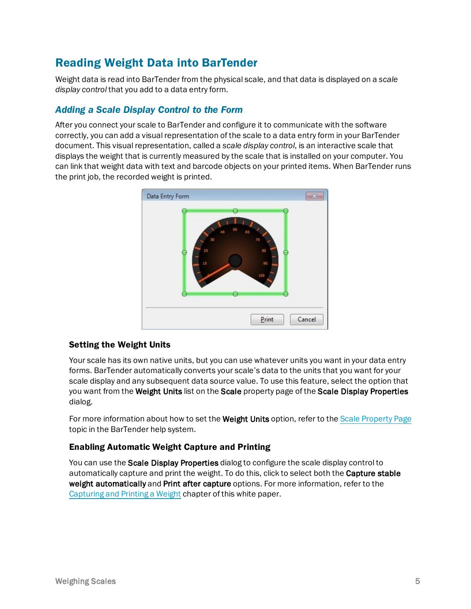# <span id="page-4-0"></span>Reading Weight Data into BarTender

Weight data is read into BarTender from the physical scale, and that data is displayed on a *scale display control* that you add to a data entry form.

#### <span id="page-4-1"></span>*Adding a Scale Display Control to the Form*

After you connect your scale to BarTender and configure it to communicate with the software correctly, you can add a visual representation of the scale to a data entry form in your BarTender document. This visual representation, called a *scale display control*, is an interactive scale that displays the weight that is currently measured by the scale that is installed on your computer. You can link that weight data with text and barcode objects on your printed items. When BarTender runs the print job, the recorded weight is printed.



#### Setting the Weight Units

Your scale has its own native units, but you can use whatever units you want in your data entry forms. BarTender automatically converts your scale's data to the units that you want for your scale display and any subsequent data source value. To use this feature, select the option that you want from the Weight Units list on the Scale property page of the Scale Display Properties dialog.

For more information about how to set the Weight Units option, refer to the Scale [Property](http://help.seagullscientific.com/#Scale_PropertyPage.htm) Page topic in the BarTender help system.

#### Enabling Automatic Weight Capture and Printing

You can use the **Scale Display Properties** dialog to configure the scale display control to automatically capture and print the weight. To do this, click to select both the **Capture stable** weight automatically and Print after capture options. For more information, refer to the [Capturing](#page-8-0) and Printing a Weight chapter of this white paper.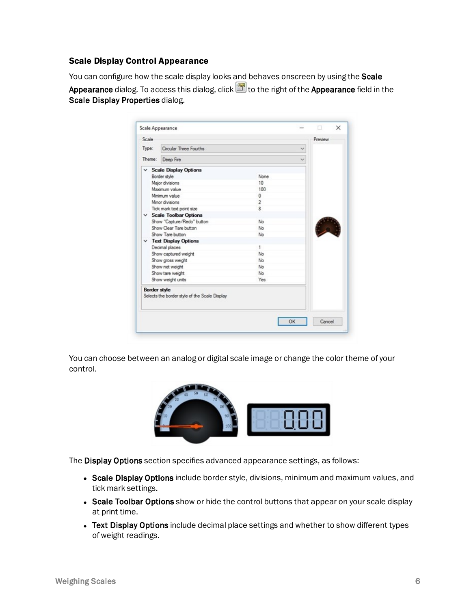#### Scale Display Control Appearance

You can configure how the scale display looks and behaves onscreen by using the Scale Appearance dialog. To access this dialog, click **the right of the Appearance** field in the Scale Display Properties dialog.

| Scale               |                                               |                |   | Preview |  |
|---------------------|-----------------------------------------------|----------------|---|---------|--|
| Type:               | Circular Three Fourths                        |                | v |         |  |
| Theme:              | Deep Fire                                     |                |   |         |  |
|                     | $\times$ Scale Display Options                |                |   |         |  |
|                     | Border style                                  | None           |   |         |  |
|                     | Major divisions                               | 10             |   |         |  |
|                     | Maximum value                                 | 100            |   |         |  |
|                     | Minimum value                                 | 0              |   |         |  |
|                     | Minor divisions                               | $\overline{c}$ |   |         |  |
|                     | Tick mark text point size                     | 8              |   |         |  |
|                     | $\times$ Scale Toolbar Options                |                |   |         |  |
|                     | Show "Capture/Redo" button                    | No             |   |         |  |
|                     | Show Clear Tare button                        | No             |   |         |  |
|                     | Show Tare button                              | No             |   |         |  |
|                     | $\times$ Text Display Options                 |                |   |         |  |
|                     | Decimal places                                | 1.             |   |         |  |
|                     | Show captured weight                          | No             |   |         |  |
|                     | Show gross weight                             | No             |   |         |  |
|                     | Show net weight                               | No             |   |         |  |
|                     | Show tare weight                              | No             |   |         |  |
|                     | Show weight units                             | Yes.           |   |         |  |
| <b>Border style</b> | Selects the border style of the Scale Display |                |   |         |  |

You can choose between an analog or digital scale image or change the color theme of your control.



The Display Options section specifies advanced appearance settings, as follows:

- Scale Display Options include border style, divisions, minimum and maximum values, and tick mark settings.
- Scale Toolbar Options show or hide the control buttons that appear on your scale display at print time.
- Text Display Options include decimal place settings and whether to show different types of weight readings.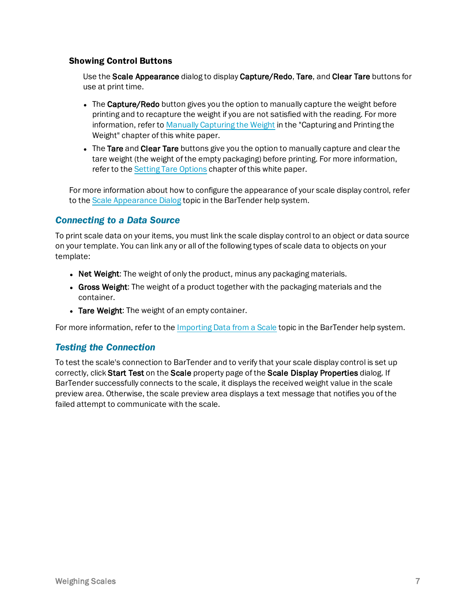#### Showing Control Buttons

Use the Scale Appearance dialog to display Capture/Redo, Tare, and Clear Tare buttons for use at print time.

- The Capture/Redo button gives you the option to manually capture the weight before printing and to recapture the weight if you are not satisfied with the reading. For more information, refer to Manually [Capturing](#page-8-1) the Weight in the "Capturing and Printing the Weight" chapter of this white paper.
- The Tare and Clear Tare buttons give you the option to manually capture and clear the tare weight (the weight of the empty packaging) before printing. For more information, refer to the Setting Tare [Options](#page-7-0) chapter of this white paper.

For more information about how to configure the appearance of your scale display control, refer to the Scale [Appearance](http://help.seagullscientific.com/#Managed/ScaleAppearance.html) Dialog topic in the BarTender help system.

#### <span id="page-6-0"></span>*Connecting to a Data Source*

To print scale data on your items, you must link the scale display control to an object or data source on your template. You can link any or all of the following types of scale data to objects on your template:

- Net Weight: The weight of only the product, minus any packaging materials.
- Gross Weight: The weight of a product together with the packaging materials and the container.
- Tare Weight: The weight of an empty container.

<span id="page-6-1"></span>For more information, refer to the [Importing](http://help.seagullscientific.com/#Scales_Importing_Data.htm) Data from a Scale topic in the BarTender help system.

#### *Testing the Connection*

To test the scale's connection to BarTender and to verify that your scale display control is set up correctly, click Start Test on the Scale property page of the Scale Display Properties dialog. If BarTender successfully connects to the scale, it displays the received weight value in the scale preview area. Otherwise, the scale preview area displays a text message that notifies you of the failed attempt to communicate with the scale.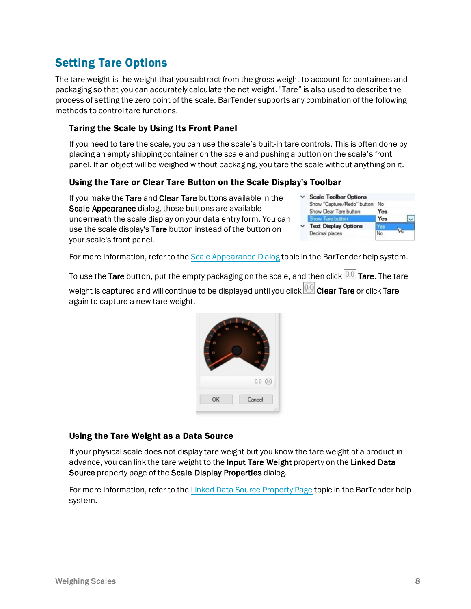# <span id="page-7-0"></span>Setting Tare Options

The tare weight is the weight that you subtract from the gross weight to account for containers and packaging so that you can accurately calculate the net weight. "Tare" is also used to describe the process of setting the zero point of the scale. BarTender supports any combination of the following methods to control tare functions.

#### Taring the Scale by Using Its Front Panel

If you need to tare the scale, you can use the scale's built-in tare controls. This is often done by placing an empty shipping container on the scale and pushing a button on the scale's front panel. If an object will be weighed without packaging, you tare the scale without anything on it.

#### Using the Tare or Clear Tare Button on the Scale Display's Toolbar

If you make the Tare and Clear Tare buttons available in the Scale Appearance dialog, those buttons are available underneath the scale display on your data entry form. You can use the scale display's Tare button instead of the button on your scale's front panel.

| <b>Scale Toolbar Options</b> |            |
|------------------------------|------------|
| Show "Capture/Redo" button   | No         |
| Show Clear Tare button       | <b>Yes</b> |
| Show Tare button             | Yes        |
| <b>Text Display Options</b>  | c          |
| Decimal places               | No         |
|                              |            |

For more information, refer to the Scale [Appearance](http://help.seagullscientific.com/#Managed/ScaleAppearance.html) Dialog topic in the BarTender help system.

To use the Tare button, put the empty packaging on the scale, and then click **0.0** Tare. The tare weight is captured and will continue to be displayed until you click **QD** Clear Tare or click Tare again to capture a new tare weight.



#### Using the Tare Weight as a Data Source

If your physical scale does not display tare weight but you know the tare weight of a product in advance, you can link the tare weight to the Input Tare Weight property on the Linked Data Source property page of the Scale Display Properties dialog.

For more information, refer to the Linked Data Source [Property](http://help.seagullscientific.com/#LinkedSubStringPAGE.htm) Page topic in the BarTender help system.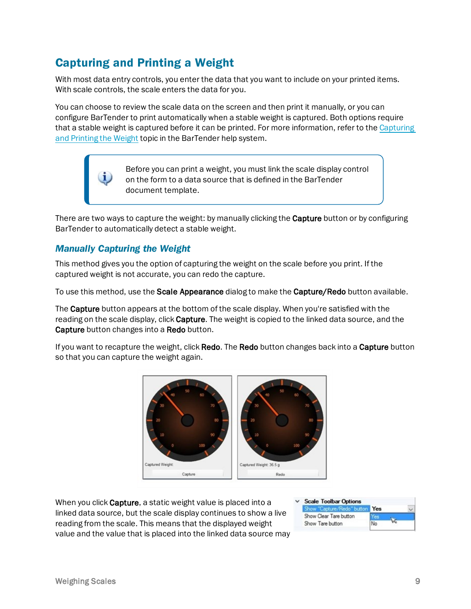# <span id="page-8-0"></span>Capturing and Printing a Weight

With most data entry controls, you enter the data that you want to include on your printed items. With scale controls, the scale enters the data for you.

You can choose to review the scale data on the screen and then print it manually, or you can configure BarTender to print automatically when a stable weight is captured. Both options require that a stable weight is captured before it can be printed. For more information, refer to the [Capturing](http://help.seagullscientific.com/#Scales_Capture_Print_LP.htm) and [Printing](http://help.seagullscientific.com/#Scales_Capture_Print_LP.htm) the Weight topic in the BarTender help system.

> Before you can print a weight, you must link the scale display control on the form to a data source that is defined in the BarTender document template.

There are two ways to capture the weight: by manually clicking the **Capture** button or by configuring BarTender to automatically detect a stable weight.

#### <span id="page-8-1"></span>*Manually Capturing the Weight*

This method gives you the option of capturing the weight on the scale before you print. If the captured weight is not accurate, you can redo the capture.

To use this method, use the **Scale Appearance** dialog to make the **Capture/Redo** button available.

The Capture button appears at the bottom of the scale display. When you're satisfied with the reading on the scale display, click Capture. The weight is copied to the linked data source, and the Capture button changes into a Redo button.

If you want to recapture the weight, click Redo. The Redo button changes back into a Capture button so that you can capture the weight again.



When you click Capture, a static weight value is placed into a linked data source, but the scale display continues to show a live reading from the scale. This means that the displayed weight value and the value that is placed into the linked data source may

| <b>Scale Toolbar Options</b>   |    |  |
|--------------------------------|----|--|
| Show "Capture/Redo" button Yes |    |  |
| Show Clear Tare button         |    |  |
| Show Tare button               | No |  |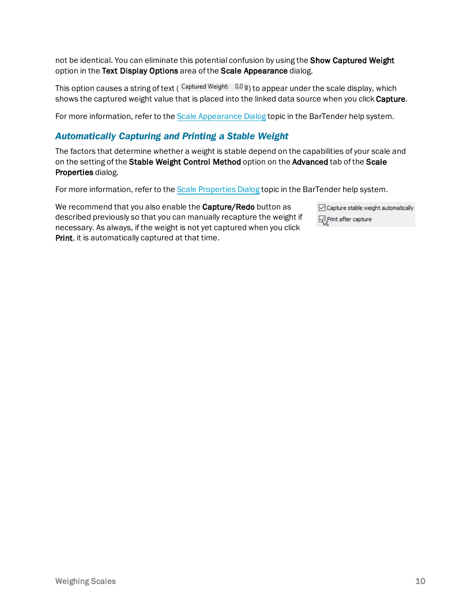not be identical. You can eliminate this potential confusion by using the Show Captured Weight option in the Text Display Options area of the Scale Appearance dialog.

This option causes a string of text ( $\frac{Captured Weight: 0.0 g}{10}$  to appear under the scale display, which shows the captured weight value that is placed into the linked data source when you click Capture.

<span id="page-9-0"></span>For more information, refer to the Scale [Appearance](http://help.seagullscientific.com/#Managed/ScaleAppearance.html) Dialog topic in the BarTender help system.

#### *Automatically Capturing and Printing a Stable Weight*

The factors that determine whether a weight is stable depend on the capabilities of your scale and on the setting of the Stable Weight Control Method option on the Advanced tab of the Scale Properties dialog.

For more information, refer to the Scale [Properties](http://help.seagullscientific.com/#Managed/ScaleProperties.html) Dialog topic in the BarTender help system.

We recommend that you also enable the Capture/Redo button as described previously so that you can manually recapture the weight if necessary. As always, if the weight is not yet captured when you click Print, it is automatically captured at that time.

| Capture stable weight automatically |
|-------------------------------------|
| Print after capture                 |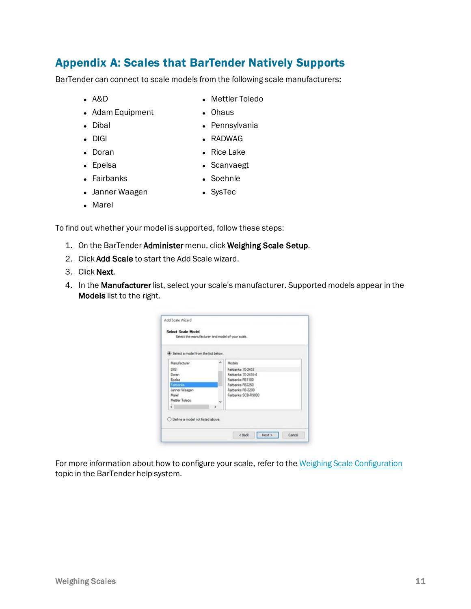### <span id="page-10-0"></span>Appendix A: Scales that BarTender Natively Supports

BarTender can connect to scale models from the following scale manufacturers:

 $A&D$ 

• Mettler Toledo

• Pennsylvania

- Adam Equipment
- Dibal

 $\bullet$  RADWAG

• Ohaus

 $\bullet$  DIGI • Doran

• Rice Lake

• Epelsa

- Scanvaegt
- Fairbanks
- Soehnle
- **Janner Waagen**
- SysTec

• Marel

To find out whether your model is supported, follow these steps:

- 1. On the BarTender Administer menu, click Weighing Scale Setup.
- 2. Click Add Scale to start the Add Scale wizard.
- 3. Click Next.
- 4. In the Manufacturer list, select your scale's manufacturer. Supported models appear in the Models list to the right.

| Select a model from the list below. |               |                     |
|-------------------------------------|---------------|---------------------|
| Manufacturer                        |               | Models              |
| DIGI                                |               | Faitbanks 70-2453   |
| Doran                               |               | Fairbanks 70-2455-4 |
| Epelsa                              |               | Fairbanks FB1100    |
| Fairbanks                           |               | Fairbanks FB2250    |
| Janner Waagen                       |               | Fairbanks FB-2200   |
| Marell                              |               | Faitbanks SCR-R9000 |
| Mettler Toledo                      |               |                     |
| <b>Mark</b><br>$\epsilon$           | $\rightarrow$ |                     |

For more information about how to configure your scale, refer to the Weighing Scale [Configuration](http://help.seagullscientific.com/#Scale_Configuration.htm) topic in the BarTender help system.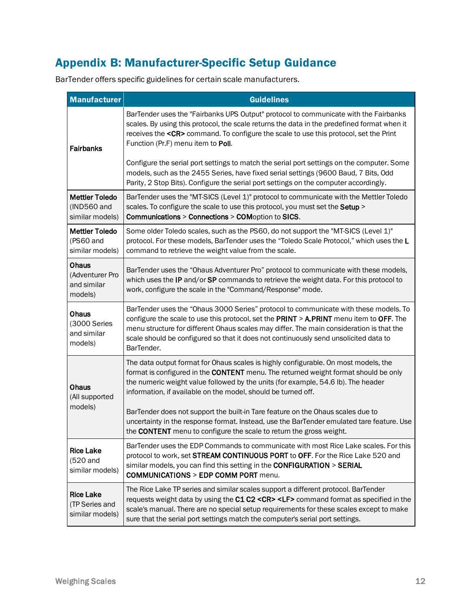# <span id="page-11-0"></span>Appendix B: Manufacturer-Specific Setup Guidance

BarTender offers specific guidelines for certain scale manufacturers.

| <b>Manufacturer</b>                                     | <b>Guidelines</b>                                                                                                                                                                                                                                                                                                                                                                 |
|---------------------------------------------------------|-----------------------------------------------------------------------------------------------------------------------------------------------------------------------------------------------------------------------------------------------------------------------------------------------------------------------------------------------------------------------------------|
| <b>Fairbanks</b>                                        | BarTender uses the "Fairbanks UPS Output" protocol to communicate with the Fairbanks<br>scales. By using this protocol, the scale returns the data in the predefined format when it<br>receives the <cr> command. To configure the scale to use this protocol, set the Print<br/>Function (Pr.F) menu item to Poll.</cr>                                                          |
|                                                         | Configure the serial port settings to match the serial port settings on the computer. Some<br>models, such as the 2455 Series, have fixed serial settings (9600 Baud, 7 Bits, Odd<br>Parity, 2 Stop Bits). Configure the serial port settings on the computer accordingly.                                                                                                        |
| <b>Mettler Toledo</b><br>(IND560 and<br>similar models) | BarTender uses the "MT-SICS (Level 1)" protocol to communicate with the Mettler Toledo<br>scales. To configure the scale to use this protocol, you must set the Setup ><br>Communications > Connections > COMoption to SICS.                                                                                                                                                      |
| <b>Mettler Toledo</b><br>(PS60 and<br>similar models)   | Some older Toledo scales, such as the PS60, do not support the "MT-SICS (Level 1)"<br>protocol. For these models, BarTender uses the "Toledo Scale Protocol," which uses the L<br>command to retrieve the weight value from the scale.                                                                                                                                            |
| Ohaus<br>(Adventurer Pro<br>and similar<br>models)      | BarTender uses the "Ohaus Adventurer Pro" protocol to communicate with these models,<br>which uses the IP and/or SP commands to retrieve the weight data. For this protocol to<br>work, configure the scale in the "Command/Response" mode.                                                                                                                                       |
| Ohaus<br>(3000 Series<br>and similar<br>models)         | BarTender uses the "Ohaus 3000 Series" protocol to communicate with these models. To<br>configure the scale to use this protocol, set the PRINT > A.PRINT menu item to OFF. The<br>menu structure for different Ohaus scales may differ. The main consideration is that the<br>scale should be configured so that it does not continuously send unsolicited data to<br>BarTender. |
| Ohaus<br>(All supported                                 | The data output format for Ohaus scales is highly configurable. On most models, the<br>format is configured in the CONTENT menu. The returned weight format should be only<br>the numeric weight value followed by the units (for example, 54.6 lb). The header<br>information, if available on the model, should be turned off.                                                  |
| models)                                                 | BarTender does not support the built-in Tare feature on the Ohaus scales due to<br>uncertainty in the response format. Instead, use the BarTender emulated tare feature. Use<br>the CONTENT menu to configure the scale to return the gross weight.                                                                                                                               |
| <b>Rice Lake</b><br>(520 and<br>similar models)         | BarTender uses the EDP Commands to communicate with most Rice Lake scales. For this<br>protocol to work, set STREAM CONTINUOUS PORT to OFF. For the Rice Lake 520 and<br>similar models, you can find this setting in the CONFIGURATION > SERIAL<br><b>COMMUNICATIONS &gt; EDP COMM PORT menu.</b>                                                                                |
| <b>Rice Lake</b><br>(TP Series and<br>similar models)   | The Rice Lake TP series and similar scales support a different protocol. BarTender<br>requests weight data by using the C1 C2 <cr> <lf> command format as specified in the<br/>scale's manual. There are no special setup requirements for these scales except to make<br/>sure that the serial port settings match the computer's serial port settings.</lf></cr>                |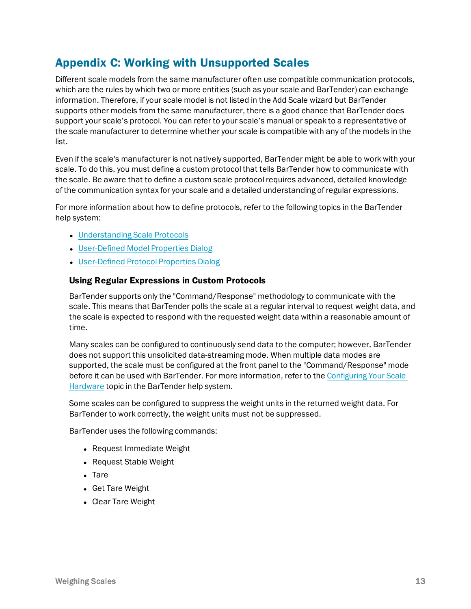### <span id="page-12-0"></span>Appendix C: Working with Unsupported Scales

Different scale models from the same manufacturer often use compatible communication protocols, which are the rules by which two or more entities (such as your scale and BarTender) can exchange information. Therefore, if your scale model is not listed in the Add Scale wizard but BarTender supports other models from the same manufacturer, there is a good chance that BarTender does support your scale's protocol. You can refer to your scale's manual or speak to a representative of the scale manufacturer to determine whether your scale is compatible with any of the models in the list.

Even if the scale's manufacturer is not natively supported, BarTender might be able to work with your scale. To do this, you must define a custom protocol that tells BarTender how to communicate with the scale. Be aware that to define a custom scale protocol requires advanced, detailed knowledge of the communication syntax for your scale and a detailed understanding of regular expressions.

For more information about how to define protocols, refer to the following topics in the BarTender help system:

- [Understanding](http://help.seagullscientific.com/#Scales_About_Protocol.htm) Scale Protocols
- [User-Defined](http://help.seagullscientific.com/#Managed/UserDefinedModelProperties.html) Model Properties Dialog
- [User-Defined](http://help.seagullscientific.com/#Managed/UserDefinedProtocolProperties.html) Protocol Properties Dialog

#### Using Regular Expressions in Custom Protocols

BarTender supports only the "Command/Response" methodology to communicate with the scale. This means that BarTender polls the scale at a regular interval to request weight data, and the scale is expected to respond with the requested weight data within a reasonable amount of time.

Many scales can be configured to continuously send data to the computer; however, BarTender does not support this unsolicited data-streaming mode. When multiple data modes are supported, the scale must be configured at the front panel to the "Command/Response" mode before it can be used with BarTender. For more information, refer to the [Configuring](http://help.seagullscientific.com/#Scales_Configure_Hardware.htm) Your Scale [Hardware](http://help.seagullscientific.com/#Scales_Configure_Hardware.htm) topic in the BarTender help system.

Some scales can be configured to suppress the weight units in the returned weight data. For BarTender to work correctly, the weight units must not be suppressed.

BarTender uses the following commands:

- Request Immediate Weight
- Request Stable Weight
- $\bullet$  Tare
- Get Tare Weight
- Clear Tare Weight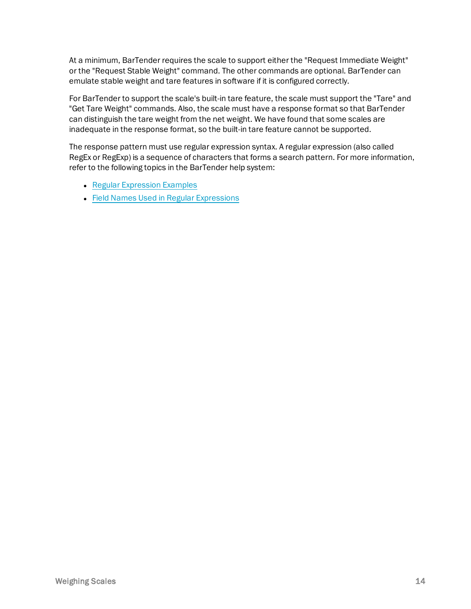At a minimum, BarTender requires the scale to support either the "Request Immediate Weight" or the "Request Stable Weight" command. The other commands are optional. BarTender can emulate stable weight and tare features in software if it is configured correctly.

For BarTender to support the scale's built-in tare feature, the scale must support the "Tare" and "Get Tare Weight" commands. Also, the scale must have a response format so that BarTender can distinguish the tare weight from the net weight. We have found that some scales are inadequate in the response format, so the built-in tare feature cannot be supported.

The response pattern must use regular expression syntax. A regular expression (also called RegEx or RegExp) is a sequence of characters that forms a search pattern. For more information, refer to the following topics in the BarTender help system:

- Regular [Expression](http://help.seagullscientific.com/#RegExExamples.html) Examples
- Field Names Used in Regular [Expressions](http://help.seagullscientific.com/#Field_Names_RegEx.htm)